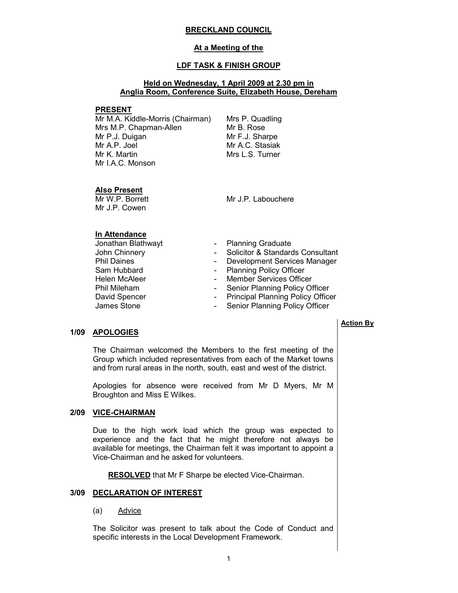#### BRECKLAND COUNCIL

## At a Meeting of the

## LDF TASK & FINISH GROUP

## Held on Wednesday, 1 April 2009 at 2.30 pm in Anglia Room, Conference Suite, Elizabeth House, Dereham

#### PRESENT

Mr M.A. Kiddle-Morris (Chairman) Mrs M.P. Chapman-Allen Mr P.J. Duigan Mr A.P. Joel Mr K. Martin Mr I.A.C. Monson

Mrs P. Quadling Mr B. Rose Mr F.J. Sharpe Mr A.C. Stasiak Mrs L.S. Turner

#### Also Present

Mr W.P. Borrett Mr J.P. Cowen

Mr J.P. Labouchere

## In Attendance

- Jonathan Blathwayt  **Planning Graduate**<br>John Chinnery  **Solicitor & Standard** Phil Daines - Development Services Manager<br>
Sam Hubbard - Planning Policy Officer David Spencer The State of Principal Planning Policy Officer<br>James Stone The Senior Planning Policy Officer
- - Solicitor & Standards Consultant
	-
	- Planning Policy Officer
- Helen McAleer  **Member Services Officer**
- Phil Mileham Senior Planning Policy Officer
	-
	- Senior Planning Policy Officer

#### 1/09 APOLOGIES

 The Chairman welcomed the Members to the first meeting of the Group which included representatives from each of the Market towns and from rural areas in the north, south, east and west of the district.

Apologies for absence were received from Mr D Myers, Mr M Broughton and Miss E Wilkes.

## 2/09 VICE-CHAIRMAN

 Due to the high work load which the group was expected to experience and the fact that he might therefore not always be available for meetings, the Chairman felt it was important to appoint a Vice-Chairman and he asked for volunteers.

RESOLVED that Mr F Sharpe be elected Vice-Chairman.

#### 3/09 DECLARATION OF INTEREST

#### (a) Advice

The Solicitor was present to talk about the Code of Conduct and specific interests in the Local Development Framework.

#### Action By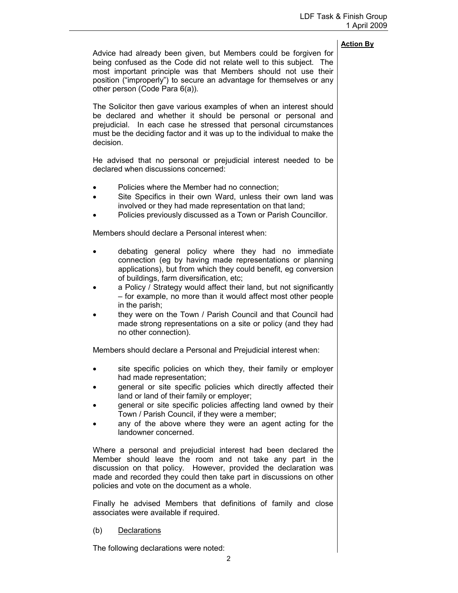Advice had already been given, but Members could be forgiven for being confused as the Code did not relate well to this subject. The most important principle was that Members should not use their position ("improperly") to secure an advantage for themselves or any other person (Code Para 6(a)). The Solicitor then gave various examples of when an interest should be declared and whether it should be personal or personal and prejudicial. In each case he stressed that personal circumstances must be the deciding factor and it was up to the individual to make the decision. He advised that no personal or prejudicial interest needed to be declared when discussions concerned: • Policies where the Member had no connection; • Site Specifics in their own Ward, unless their own land was involved or they had made representation on that land; • Policies previously discussed as a Town or Parish Councillor. Members should declare a Personal interest when: • debating general policy where they had no immediate connection (eg by having made representations or planning applications), but from which they could benefit, eg conversion of buildings, farm diversification, etc;

- a Policy / Strategy would affect their land, but not significantly – for example, no more than it would affect most other people in the parish;
- they were on the Town / Parish Council and that Council had made strong representations on a site or policy (and they had no other connection).

Members should declare a Personal and Prejudicial interest when:

- site specific policies on which they, their family or employer had made representation;
- general or site specific policies which directly affected their land or land of their family or employer;
- general or site specific policies affecting land owned by their Town / Parish Council, if they were a member;
- any of the above where they were an agent acting for the landowner concerned.

Where a personal and prejudicial interest had been declared the Member should leave the room and not take any part in the discussion on that policy. However, provided the declaration was made and recorded they could then take part in discussions on other policies and vote on the document as a whole.

Finally he advised Members that definitions of family and close associates were available if required.

#### (b) Declarations

The following declarations were noted: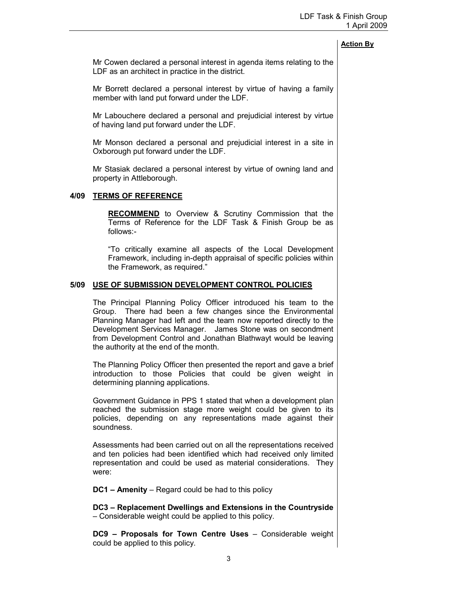Mr Cowen declared a personal interest in agenda items relating to the LDF as an architect in practice in the district.

Mr Borrett declared a personal interest by virtue of having a family member with land put forward under the LDF.

Mr Labouchere declared a personal and prejudicial interest by virtue of having land put forward under the LDF.

Mr Monson declared a personal and prejudicial interest in a site in Oxborough put forward under the LDF.

Mr Stasiak declared a personal interest by virtue of owning land and property in Attleborough.

## 4/09 TERMS OF REFERENCE

**RECOMMEND** to Overview & Scrutiny Commission that the Terms of Reference for the LDF Task & Finish Group be as follows:-

"To critically examine all aspects of the Local Development Framework, including in-depth appraisal of specific policies within the Framework, as required."

#### 5/09 USE OF SUBMISSION DEVELOPMENT CONTROL POLICIES

 The Principal Planning Policy Officer introduced his team to the Group. There had been a few changes since the Environmental Planning Manager had left and the team now reported directly to the Development Services Manager. James Stone was on secondment from Development Control and Jonathan Blathwayt would be leaving the authority at the end of the month.

The Planning Policy Officer then presented the report and gave a brief introduction to those Policies that could be given weight in determining planning applications.

Government Guidance in PPS 1 stated that when a development plan reached the submission stage more weight could be given to its policies, depending on any representations made against their soundness.

Assessments had been carried out on all the representations received and ten policies had been identified which had received only limited representation and could be used as material considerations. They were:

DC1 – Amenity – Regard could be had to this policy

DC3 – Replacement Dwellings and Extensions in the Countryside – Considerable weight could be applied to this policy.

DC9 – Proposals for Town Centre Uses – Considerable weight could be applied to this policy.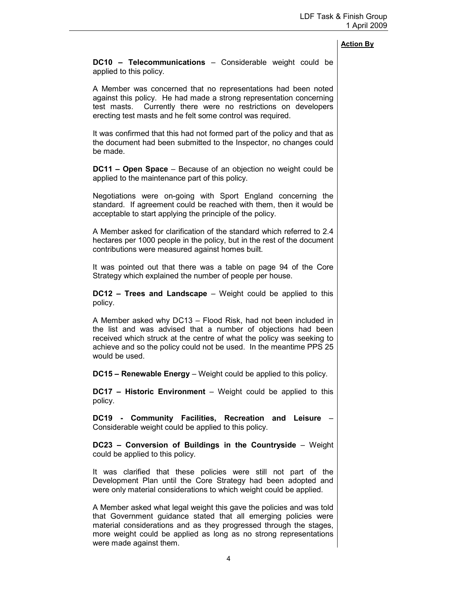DC10 – Telecommunications – Considerable weight could be applied to this policy.

A Member was concerned that no representations had been noted against this policy. He had made a strong representation concerning test masts. Currently there were no restrictions on developers erecting test masts and he felt some control was required.

It was confirmed that this had not formed part of the policy and that as the document had been submitted to the Inspector, no changes could be made.

DC11 – Open Space – Because of an objection no weight could be applied to the maintenance part of this policy.

Negotiations were on-going with Sport England concerning the standard. If agreement could be reached with them, then it would be acceptable to start applying the principle of the policy.

A Member asked for clarification of the standard which referred to 2.4 hectares per 1000 people in the policy, but in the rest of the document contributions were measured against homes built.

It was pointed out that there was a table on page 94 of the Core Strategy which explained the number of people per house.

DC12 – Trees and Landscape – Weight could be applied to this policy.

A Member asked why DC13 – Flood Risk, had not been included in the list and was advised that a number of objections had been received which struck at the centre of what the policy was seeking to achieve and so the policy could not be used. In the meantime PPS 25 would be used.

DC15 – Renewable Energy – Weight could be applied to this policy.

**DC17 – Historic Environment** – Weight could be applied to this policy.

DC19 - Community Facilities, Recreation and Leisure Considerable weight could be applied to this policy.

DC23 – Conversion of Buildings in the Countryside – Weight could be applied to this policy.

It was clarified that these policies were still not part of the Development Plan until the Core Strategy had been adopted and were only material considerations to which weight could be applied.

A Member asked what legal weight this gave the policies and was told that Government guidance stated that all emerging policies were material considerations and as they progressed through the stages, more weight could be applied as long as no strong representations were made against them.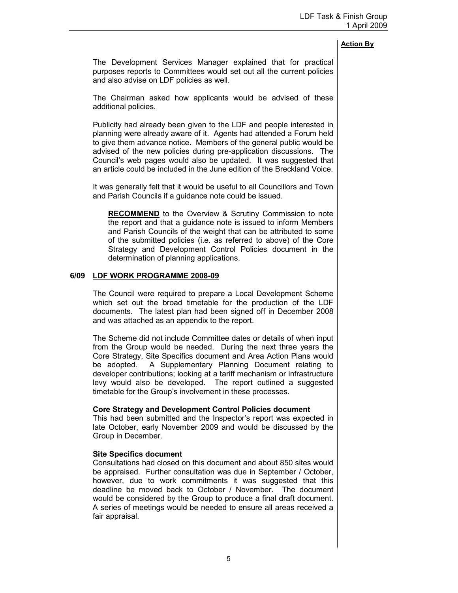The Development Services Manager explained that for practical purposes reports to Committees would set out all the current policies and also advise on LDF policies as well.

The Chairman asked how applicants would be advised of these additional policies.

Publicity had already been given to the LDF and people interested in planning were already aware of it. Agents had attended a Forum held to give them advance notice. Members of the general public would be advised of the new policies during pre-application discussions. The Council's web pages would also be updated. It was suggested that an article could be included in the June edition of the Breckland Voice.

It was generally felt that it would be useful to all Councillors and Town and Parish Councils if a guidance note could be issued.

**RECOMMEND** to the Overview & Scrutiny Commission to note the report and that a guidance note is issued to inform Members and Parish Councils of the weight that can be attributed to some of the submitted policies (i.e. as referred to above) of the Core Strategy and Development Control Policies document in the determination of planning applications.

## 6/09 LDF WORK PROGRAMME 2008-09

 The Council were required to prepare a Local Development Scheme which set out the broad timetable for the production of the LDF documents. The latest plan had been signed off in December 2008 and was attached as an appendix to the report.

The Scheme did not include Committee dates or details of when input from the Group would be needed. During the next three years the Core Strategy, Site Specifics document and Area Action Plans would be adopted. A Supplementary Planning Document relating to developer contributions; looking at a tariff mechanism or infrastructure levy would also be developed. The report outlined a suggested timetable for the Group's involvement in these processes.

#### Core Strategy and Development Control Policies document

This had been submitted and the Inspector's report was expected in late October, early November 2009 and would be discussed by the Group in December.

## Site Specifics document

Consultations had closed on this document and about 850 sites would be appraised. Further consultation was due in September / October, however, due to work commitments it was suggested that this deadline be moved back to October / November. The document would be considered by the Group to produce a final draft document. A series of meetings would be needed to ensure all areas received a fair appraisal.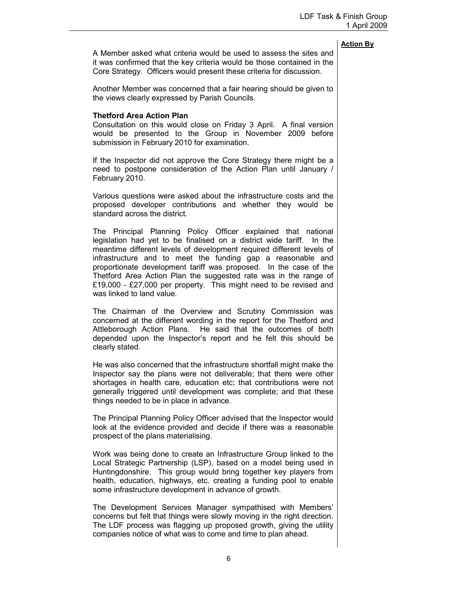|                                                                                                                                                                                                                                                                                                                                                                                                                                                                                                                              | <b>Action By</b> |
|------------------------------------------------------------------------------------------------------------------------------------------------------------------------------------------------------------------------------------------------------------------------------------------------------------------------------------------------------------------------------------------------------------------------------------------------------------------------------------------------------------------------------|------------------|
| A Member asked what criteria would be used to assess the sites and<br>it was confirmed that the key criteria would be those contained in the<br>Core Strategy. Officers would present these criteria for discussion.                                                                                                                                                                                                                                                                                                         |                  |
| Another Member was concerned that a fair hearing should be given to<br>the views clearly expressed by Parish Councils.                                                                                                                                                                                                                                                                                                                                                                                                       |                  |
| <b>Thetford Area Action Plan</b><br>Consultation on this would close on Friday 3 April. A final version<br>would be presented to the Group in November 2009 before<br>submission in February 2010 for examination.                                                                                                                                                                                                                                                                                                           |                  |
| If the Inspector did not approve the Core Strategy there might be a<br>need to postpone consideration of the Action Plan until January /<br>February 2010.                                                                                                                                                                                                                                                                                                                                                                   |                  |
| Various questions were asked about the infrastructure costs and the<br>proposed developer contributions and whether they would be<br>standard across the district.                                                                                                                                                                                                                                                                                                                                                           |                  |
| The Principal Planning Policy Officer explained that national<br>legislation had yet to be finalised on a district wide tariff.<br>In the<br>meantime different levels of development required different levels of<br>infrastructure and to meet the funding gap a reasonable and<br>proportionate development tariff was proposed. In the case of the<br>Thetford Area Action Plan the suggested rate was in the range of<br>£19,000 - £27,000 per property. This might need to be revised and<br>was linked to land value. |                  |
| The Chairman of the Overview and Scrutiny Commission was<br>concerned at the different wording in the report for the Thetford and<br>Attleborough Action Plans. He said that the outcomes of both<br>depended upon the Inspector's report and he felt this should be<br>clearly stated.                                                                                                                                                                                                                                      |                  |
| He was also concerned that the infrastructure shortfall might make the<br>Inspector say the plans were not deliverable; that there were other<br>shortages in health care, education etc; that contributions were not<br>generally triggered until development was complete; and that these<br>things needed to be in place in advance.                                                                                                                                                                                      |                  |
| The Principal Planning Policy Officer advised that the Inspector would                                                                                                                                                                                                                                                                                                                                                                                                                                                       |                  |

look at the evidence provided and decide if there was a reasonable prospect of the plans materialising.

Work was being done to create an Infrastructure Group linked to the Local Strategic Partnership (LSP), based on a model being used in Huntingdonshire. This group would bring together key players from health, education, highways, etc. creating a funding pool to enable some infrastructure development in advance of growth.

The Development Services Manager sympathised with Members' concerns but felt that things were slowly moving in the right direction. The LDF process was flagging up proposed growth, giving the utility companies notice of what was to come and time to plan ahead.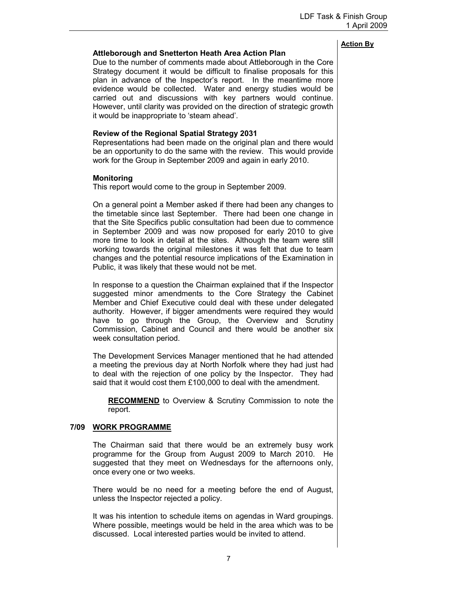# Attleborough and Snetterton Heath Area Action Plan

Due to the number of comments made about Attleborough in the Core Strategy document it would be difficult to finalise proposals for this plan in advance of the Inspector's report. In the meantime more evidence would be collected. Water and energy studies would be carried out and discussions with key partners would continue. However, until clarity was provided on the direction of strategic growth it would be inappropriate to 'steam ahead'.

# Review of the Regional Spatial Strategy 2031

Representations had been made on the original plan and there would be an opportunity to do the same with the review. This would provide work for the Group in September 2009 and again in early 2010.

## **Monitoring**

This report would come to the group in September 2009.

On a general point a Member asked if there had been any changes to the timetable since last September. There had been one change in that the Site Specifics public consultation had been due to commence in September 2009 and was now proposed for early 2010 to give more time to look in detail at the sites. Although the team were still working towards the original milestones it was felt that due to team changes and the potential resource implications of the Examination in Public, it was likely that these would not be met.

In response to a question the Chairman explained that if the Inspector suggested minor amendments to the Core Strategy the Cabinet Member and Chief Executive could deal with these under delegated authority. However, if bigger amendments were required they would have to go through the Group, the Overview and Scrutiny Commission, Cabinet and Council and there would be another six week consultation period.

The Development Services Manager mentioned that he had attended a meeting the previous day at North Norfolk where they had just had to deal with the rejection of one policy by the Inspector. They had said that it would cost them £100,000 to deal with the amendment.

RECOMMEND to Overview & Scrutiny Commission to note the report.

## 7/09 WORK PROGRAMME

 The Chairman said that there would be an extremely busy work programme for the Group from August 2009 to March 2010. He suggested that they meet on Wednesdays for the afternoons only, once every one or two weeks.

There would be no need for a meeting before the end of August, unless the Inspector rejected a policy.

It was his intention to schedule items on agendas in Ward groupings. Where possible, meetings would be held in the area which was to be discussed. Local interested parties would be invited to attend.

# Action By